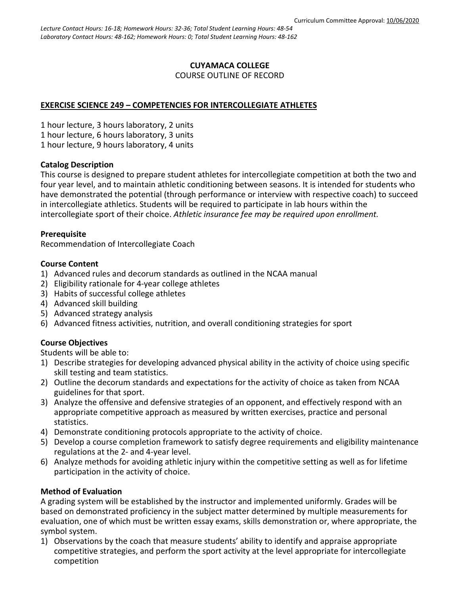# **CUYAMACA COLLEGE**

COURSE OUTLINE OF RECORD

## **EXERCISE SCIENCE 249 – COMPETENCIES FOR INTERCOLLEGIATE ATHLETES**

1 hour lecture, 3 hours laboratory, 2 units 1 hour lecture, 6 hours laboratory, 3 units 1 hour lecture, 9 hours laboratory, 4 units

## **Catalog Description**

This course is designed to prepare student athletes for intercollegiate competition at both the two and four year level, and to maintain athletic conditioning between seasons. It is intended for students who have demonstrated the potential (through performance or interview with respective coach) to succeed in intercollegiate athletics. Students will be required to participate in lab hours within the intercollegiate sport of their choice. *Athletic insurance fee may be required upon enrollment.*

#### **Prerequisite**

Recommendation of Intercollegiate Coach

#### **Course Content**

- 1) Advanced rules and decorum standards as outlined in the NCAA manual
- 2) Eligibility rationale for 4-year college athletes
- 3) Habits of successful college athletes
- 4) Advanced skill building
- 5) Advanced strategy analysis
- 6) Advanced fitness activities, nutrition, and overall conditioning strategies for sport

## **Course Objectives**

Students will be able to:

- 1) Describe strategies for developing advanced physical ability in the activity of choice using specific skill testing and team statistics.
- 2) Outline the decorum standards and expectations for the activity of choice as taken from NCAA guidelines for that sport.
- 3) Analyze the offensive and defensive strategies of an opponent, and effectively respond with an appropriate competitive approach as measured by written exercises, practice and personal statistics.
- 4) Demonstrate conditioning protocols appropriate to the activity of choice.
- 5) Develop a course completion framework to satisfy degree requirements and eligibility maintenance regulations at the 2- and 4-year level.
- 6) Analyze methods for avoiding athletic injury within the competitive setting as well as for lifetime participation in the activity of choice.

#### **Method of Evaluation**

A grading system will be established by the instructor and implemented uniformly. Grades will be based on demonstrated proficiency in the subject matter determined by multiple measurements for evaluation, one of which must be written essay exams, skills demonstration or, where appropriate, the symbol system.

1) Observations by the coach that measure students' ability to identify and appraise appropriate competitive strategies, and perform the sport activity at the level appropriate for intercollegiate competition